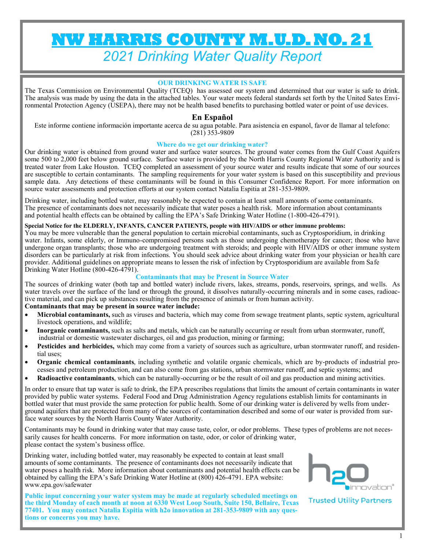# **NW HARRIS COUNTY M.U.D. NO. 21**  *2021 Drinking Water Quality Report*

#### **OUR DRINKING WATER IS SAFE**

The Texas Commission on Environmental Quality (TCEQ) has assessed our system and determined that our water is safe to drink. The analysis was made by using the data in the attached tables. Your water meets federal standards set forth by the United Sates Environmental Protection Agency (USEPA), there may not be health based benefits to purchasing bottled water or point of use devices.

### **En Español**

Este informe contiene información importante acerca de su agua potable. Para asistencia en espanol, favor de llamar al telefono:  $(281)$  353-9809

#### **Where do we get our drinking water?**

Our drinking water is obtained from ground water and surface water sources. The ground water comes from the Gulf Coast Aquifers some 500 to 2,000 feet below ground surface. Surface water is provided by the North Harris County Regional Water Authority and is treated water from Lake Houston. TCEQ completed an assessment of your source water and results indicate that some of our sources are susceptible to certain contaminants. The sampling requirements for your water system is based on this susceptibility and previous sample data. Any detections of these contaminants will be found in this Consumer Confidence Report. For more information on source water assessments and protection efforts at our system contact Natalia Espitia at 281-353-9809.

Drinking water, including bottled water, may reasonably be expected to contain at least small amounts of some contaminants. The presence of contaminants does not necessarily indicate that water poses a health risk. More information about contaminants and potential health effects can be obtained by calling the EPA's Safe Drinking Water Hotline (1-800-426-4791).

#### **Special Notice for the ELDERLY, INFANTS, CANCER PATIENTS, people with HIV/AIDS or other immune problems:**

You may be more vulnerable than the general population to certain microbial contaminants, such as Cryptosporidium, in drinking water. Infants, some elderly, or Immuno-compromised persons such as those undergoing chemotherapy for cancer; those who have undergone organ transplants; those who are undergoing treatment with steroids; and people with HIV/AIDS or other immune system disorders can be particularly at risk from infections. You should seek advice about drinking water from your physician or health care provider. Additional guidelines on appropriate means to lessen the risk of infection by Cryptosporidium are available from Safe Drinking Water Hotline (800-426-4791).

#### **Contaminants that may be Present in Source Water**

The sources of drinking water (both tap and bottled water) include rivers, lakes, streams, ponds, reservoirs, springs, and wells. As water travels over the surface of the land or through the ground, it dissolves naturally-occurring minerals and in some cases, radioactive material, and can pick up substances resulting from the presence of animals or from human activity.

#### **Contaminants that may be present in source water include:**

- **Microbial contaminants,** such as viruses and bacteria, which may come from sewage treatment plants, septic system, agricultural livestock operations, and wildlife;
- **Inorganic contaminants,** such as salts and metals, which can be naturally occurring or result from urban stormwater, runoff, industrial or domestic wastewater discharges, oil and gas production, mining or farming;
- **Pesticides and herbicides,** which may come from a variety of sources such as agriculture, urban stormwater runoff, and residential uses;
- **Organic chemical contaminants**, including synthetic and volatile organic chemicals, which are by-products of industrial processes and petroleum production, and can also come from gas stations, urban stormwater runoff, and septic systems; and
- **Radioactive contaminants**, which can be naturally-occurring or be the result of oil and gas production and mining activities.

In order to ensure that tap water is safe to drink, the EPA prescribes regulations that limits the amount of certain contaminants in water provided by public water systems. Federal Food and Drug Administration Agency regulations establish limits for contaminants in bottled water that must provide the same protection for public health. Some of our drinking water is delivered by wells from underground aquifers that are protected from many of the sources of contamination described and some of our water is provided from surface water sources by the North Harris County Water Authority.

Contaminants may be found in drinking water that may cause taste, color, or odor problems. These types of problems are not necessarily causes for health concerns. For more information on taste, odor, or color of drinking water, please contact the system's business office.

Drinking water, including bottled water, may reasonably be expected to contain at least small amounts of some contaminants. The presence of contaminants does not necessarily indicate that water poses a health risk. More information about contaminants and potential health effects can be obtained by calling the EPA's Safe Drinking Water Hotline at (800) 426-4791. EPA website: www.epa.gov/safewater

**Public input concerning your water system may be made at regularly scheduled meetings on the third Monday of each month at noon at 6330 West Loop South, Suite 150, Bellaire, Texas 77401. You may contact Natalia Espitia with h2o innovation at 281-353-9809 with any questions or concerns you may have.**



**Trusted Utility Partners**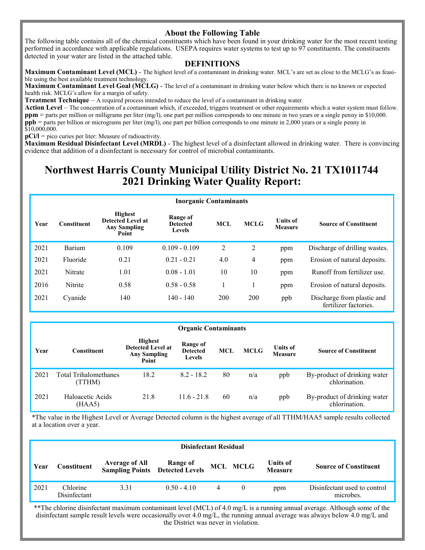#### **About the Following Table**

The following table contains all of the chemical constituents which have been found in your drinking water for the most recent testing performed in accordance with applicable regulations. USEPA requires water systems to test up to 97 constituents. The constituents detected in your water are listed in the attached table.

#### **DEFINITIONS**

**Maximum Contaminant Level (MCL)** - The highest level of a contaminant in drinking water. MCL's are set as close to the MCLG's as feasible using the best available treatment technology.

**Maximum Contaminant Level Goal (MCLG)** - The level of a contaminant in drinking water below which there is no known or expected health risk. MCLG's allow for a margin of safety.

**Treatment Technique** – A required process intended to reduce the level of a contaminant in drinking water.

**Action Level** – The concentration of a contaminant which, if exceeded, triggers treatment or other requirements which a water system must follow. **ppm** = parts per million or milligrams per liter (mg/l), one part per million corresponds to one minute in two years or a single penny in \$10,000. **ppb** = parts per billion or micrograms per liter (mg/l), one part per billion corresponds to one minute in 2,000 years or a single penny in \$10,000,000.

**pCi/l** = pico curies per liter: Measure of radioactivity.

**Maximum Residual Disinfectant Level (MRDL)** - The highest level of a disinfectant allowed in drinking water. There is convincing evidence that addition of a disinfectant is necessary for control of microbial contaminants.

## **Northwest Harris County Municipal Utility District No. 21 TX1011744 2021 Drinking Water Quality Report:**

#### **Inorganic Contaminants Year Constituent Highest Detected Level at Any Sampling Point Range of Detected Levels MCL MCLG Units of Source of Constituent** 2021 Barium 0.109 0.109 - 0.109 2 2 ppm Discharge of drilling wastes. 2021 Fluoride 0.21 0.21 - 0.21 4.0 4 ppm Erosion of natural deposits. 2021 Nitrate 1.01 0.08 - 1.01 10 10 ppm Runoff from fertilizer use. 2016 Nitrite 0.58 0.58 - 0.58 1 1 ppm Erosion of natural deposits. 2021 Cyanide 140 140 - 140 200 200 ppb Discharge from plastic and fertilizer factories.

|      | <b>Organic Contaminants</b>     |                                                                            |                                              |            |             |                                   |                                               |  |  |  |
|------|---------------------------------|----------------------------------------------------------------------------|----------------------------------------------|------------|-------------|-----------------------------------|-----------------------------------------------|--|--|--|
| Year | Constituent                     | <b>Highest</b><br><b>Detected Level at</b><br><b>Any Sampling</b><br>Point | Range of<br><b>Detected</b><br><b>Levels</b> | <b>MCL</b> | <b>MCLG</b> | <b>Units of</b><br><b>Measure</b> | <b>Source of Constituent</b>                  |  |  |  |
| 2021 | Total Trihalomethanes<br>(TTHM) | 18.2                                                                       | $8.2 - 18.2$                                 | 80         | n/a         | ppb                               | By-product of drinking water<br>chlorination. |  |  |  |
| 2021 | Haloacetic Acids<br>(HAA5)      | 21.8                                                                       | $11.6 - 21.8$                                | 60         | n/a         | ppb                               | By-product of drinking water<br>chlorination. |  |  |  |

\*The value in the Highest Level or Average Detected column is the highest average of all TTHM/HAA5 sample results collected at a location over a year.

|      | <b>Disinfectant Residual</b> |                                                                    |               |   |          |                                   |                                           |  |  |
|------|------------------------------|--------------------------------------------------------------------|---------------|---|----------|-----------------------------------|-------------------------------------------|--|--|
| Year | <b>Constituent</b>           | <b>Average of All Range of<br/>Sampling Points Detected Levels</b> |               |   | MCL MCLG | <b>Units of</b><br><b>Measure</b> | <b>Source of Constituent</b>              |  |  |
| 2021 | Chlorine<br>Disinfectant     | 3.31                                                               | $0.50 - 4.10$ | 4 |          | ppm                               | Disinfectant used to control<br>microbes. |  |  |

\*\*The chlorine disinfectant maximum contaminant level (MCL) of 4.0 mg/L is a running annual average. Although some of the disinfectant sample result levels were occasionally over 4.0 mg/L, the running annual average was always below 4.0 mg/L and the District was never in violation.

1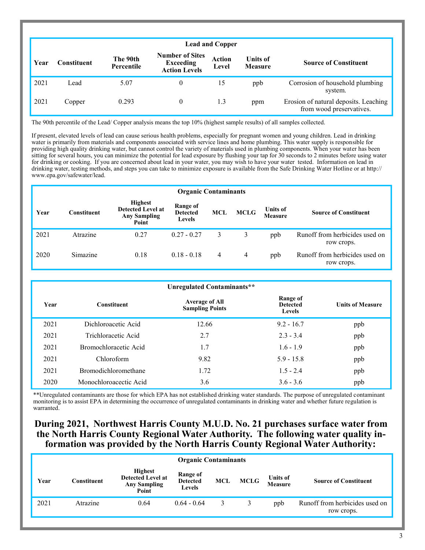|      |                    |                        |                                                                    | <b>Lead and Copper</b> |                                   |                                                                   |
|------|--------------------|------------------------|--------------------------------------------------------------------|------------------------|-----------------------------------|-------------------------------------------------------------------|
| Year | <b>Constituent</b> | The 90th<br>Percentile | <b>Number of Sites</b><br><b>Exceeding</b><br><b>Action Levels</b> | <b>Action</b><br>Level | <b>Units of</b><br><b>Measure</b> | <b>Source of Constituent</b>                                      |
| 2021 | Lead               | 5.07                   | $\theta$                                                           | 15                     | ppb                               | Corrosion of household plumbing<br>system.                        |
| 2021 | Copper             | 0.293                  | $\theta$                                                           | 1.3                    | ppm                               | Erosion of natural deposits. Leaching<br>from wood preservatives. |

The 90th percentile of the Lead/ Copper analysis means the top 10% (highest sample results) of all samples collected.

If present, elevated levels of lead can cause serious health problems, especially for pregnant women and young children. Lead in drinking water is primarily from materials and components associated with service lines and home plumbing. This water supply is responsible for providing high quality drinking water, but cannot control the variety of materials used in plumbing components. When your water has been sitting for several hours, you can minimize the potential for lead exposure by flushing your tap for 30 seconds to 2 minutes before using water for drinking or cooking. If you are concerned about lead in your water, you may wish to have your water tested. Information on lead in drinking water, testing methods, and steps you can take to minimize exposure is available from the Safe Drinking Water Hotline or at http:// www.epa.gov/safewater/lead.

|      | <b>Organic Contaminants</b> |                                                                            |                                              |      |             |                                   |                                              |  |  |  |  |
|------|-----------------------------|----------------------------------------------------------------------------|----------------------------------------------|------|-------------|-----------------------------------|----------------------------------------------|--|--|--|--|
| Year | <b>Constituent</b>          | <b>Highest</b><br><b>Detected Level at</b><br><b>Any Sampling</b><br>Point | Range of<br><b>Detected</b><br><b>Levels</b> | MCL. | <b>MCLG</b> | <b>Units of</b><br><b>Measure</b> | <b>Source of Constituent</b>                 |  |  |  |  |
| 2021 | Atrazine                    | 0.27                                                                       | $0.27 - 0.27$                                | 3    | 3           | ppb                               | Runoff from herbicides used on<br>row crops. |  |  |  |  |
| 2020 | Simazine                    | 0.18                                                                       | $0.18 - 0.18$                                | 4    | 4           | ppb                               | Runoff from herbicides used on<br>row crops. |  |  |  |  |

|      |                             | Unregulated Contaminants**                      |                                       |                         |
|------|-----------------------------|-------------------------------------------------|---------------------------------------|-------------------------|
| Year | <b>Constituent</b>          | <b>Average of All</b><br><b>Sampling Points</b> | Range of<br><b>Detected</b><br>Levels | <b>Units of Measure</b> |
| 2021 | Dichloroacetic Acid         | 12.66                                           | $9.2 - 16.7$                          | ppb                     |
| 2021 | Trichloracetic Acid         | 2.7                                             | $2.3 - 3.4$                           | ppb                     |
| 2021 | Bromochloracetic Acid       | 1.7                                             | $1.6 - 1.9$                           | ppb                     |
| 2021 | Chloroform                  | 9.82                                            | $5.9 - 15.8$                          | ppb                     |
| 2021 | <b>Bromodichloromethane</b> | 1.72                                            | $1.5 - 2.4$                           | ppb                     |
| 2020 | Monochloroacectic Acid      | 3.6                                             | $3.6 - 3.6$                           | ppb                     |

\*\*Unregulated contaminants are those for which EPA has not established drinking water standards. The purpose of unregulated contaminant monitoring is to assist EPA in determining the occurrence of unregulated contaminants in drinking water and whether future regulation is warranted.

## **During 2021, Northwest Harris County M.U.D. No. 21 purchases surface water from the North Harris County Regional Water Authority. The following water quality information was provided by the North Harris County Regional Water Authority:**

|      | <b>Organic Contaminants</b> |                                                                            |                                              |     |             |                                   |                                              |  |  |
|------|-----------------------------|----------------------------------------------------------------------------|----------------------------------------------|-----|-------------|-----------------------------------|----------------------------------------------|--|--|
| Year | Constituent                 | <b>Highest</b><br><b>Detected Level at</b><br><b>Any Sampling</b><br>Point | Range of<br><b>Detected</b><br><b>Levels</b> | MCL | <b>MCLG</b> | <b>Units of</b><br><b>Measure</b> | <b>Source of Constituent</b>                 |  |  |
| 2021 | Atrazine                    | 0.64                                                                       | $0.64 - 0.64$                                | 3   |             | ppb                               | Runoff from herbicides used on<br>row crops. |  |  |
|      |                             |                                                                            |                                              |     |             |                                   |                                              |  |  |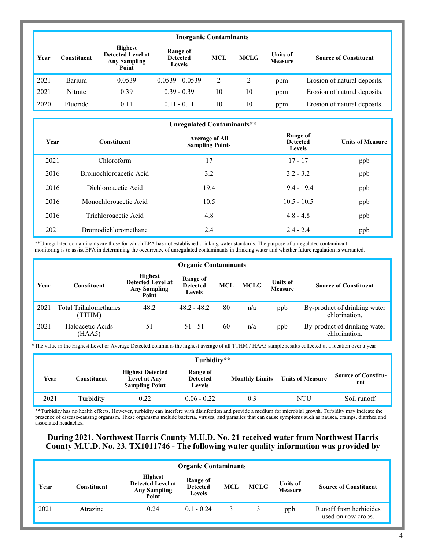|      | <b>Inorganic Contaminants</b>                                                                                                                                                                                                               |        |                   |    |    |     |                              |  |  |  |
|------|---------------------------------------------------------------------------------------------------------------------------------------------------------------------------------------------------------------------------------------------|--------|-------------------|----|----|-----|------------------------------|--|--|--|
| Year | <b>Highest</b><br>Range of<br><b>Detected Level at</b><br><b>Units of</b><br><b>MCLG</b><br><b>MCL</b><br><b>Source of Constituent</b><br>`onstituent<br><b>Detected</b><br><b>Any Sampling</b><br><b>Measure</b><br><b>Levels</b><br>Point |        |                   |    |    |     |                              |  |  |  |
| 2021 | Barium                                                                                                                                                                                                                                      | 0.0539 | $0.0539 - 0.0539$ | 2  | 2  | ppm | Erosion of natural deposits. |  |  |  |
| 2021 | Nitrate                                                                                                                                                                                                                                     | 0.39   | $0.39 - 0.39$     | 10 | 10 | ppm | Erosion of natural deposits. |  |  |  |
| 2020 | Fluoride                                                                                                                                                                                                                                    | 0.11   | $0.11 - 0.11$     | 10 | 10 | ppm | Erosion of natural deposits. |  |  |  |

|      | Unregulated Contaminants**  |                                                 |                                              |                         |  |  |  |  |  |  |
|------|-----------------------------|-------------------------------------------------|----------------------------------------------|-------------------------|--|--|--|--|--|--|
| Year | <b>Constituent</b>          | <b>Average of All</b><br><b>Sampling Points</b> | Range of<br><b>Detected</b><br><b>Levels</b> | <b>Units of Measure</b> |  |  |  |  |  |  |
| 2021 | Chloroform                  | 17                                              | $17 - 17$                                    | ppb                     |  |  |  |  |  |  |
| 2016 | Bromochloroacetic Acid      | 3.2                                             | $3.2 - 3.2$                                  | ppb                     |  |  |  |  |  |  |
| 2016 | Dichloroacetic Acid         | 19.4                                            | $19.4 - 19.4$                                | ppb                     |  |  |  |  |  |  |
| 2016 | Monochloroacetic Acid       | 10.5                                            | $10.5 - 10.5$                                | ppb                     |  |  |  |  |  |  |
| 2016 | Trichloroacetic Acid        | 4.8                                             | $4.8 - 4.8$                                  | ppb                     |  |  |  |  |  |  |
| 2021 | <b>Bromodichloromethane</b> | 2.4                                             | $2.4 - 2.4$                                  | ppb                     |  |  |  |  |  |  |

\*\*Unregulated contaminants are those for which EPA has not established drinking water standards. The purpose of unregulated contaminant monitoring is to assist EPA in determining the occurrence of unregulated contaminants in drinking water and whether future regulation is warranted.

|      | <b>Organic Contaminants</b>     |                                                                            |                                       |            |             |                                   |                                               |  |  |  |
|------|---------------------------------|----------------------------------------------------------------------------|---------------------------------------|------------|-------------|-----------------------------------|-----------------------------------------------|--|--|--|
| Year | Constituent                     | <b>Highest</b><br><b>Detected Level at</b><br><b>Any Sampling</b><br>Point | Range of<br><b>Detected</b><br>Levels | <b>MCL</b> | <b>MCLG</b> | <b>Units of</b><br><b>Measure</b> | <b>Source of Constituent</b>                  |  |  |  |
| 2021 | Total Trihalomethanes<br>(TTHM) | 48.2                                                                       | $48.2 - 48.2$                         | 80         | n/a         | ppb                               | By-product of drinking water<br>chlorination. |  |  |  |
| 2021 | Haloacetic Acids<br>(HAA5)      | 51                                                                         | $51 - 51$                             | 60         | n/a         | ppb                               | By-product of drinking water<br>chlorination. |  |  |  |

\*The value in the Highest Level or Average Detected column is the highest average of all TTHM / HAA5 sample results collected at a location over a year

|      | Turbidity** |                                                                  |                                              |                       |                         |                                   |  |  |  |
|------|-------------|------------------------------------------------------------------|----------------------------------------------|-----------------------|-------------------------|-----------------------------------|--|--|--|
| Year | Constituent | <b>Highest Detected</b><br>Level at Any<br><b>Sampling Point</b> | Range of<br><b>Detected</b><br><b>Levels</b> | <b>Monthly Limits</b> | <b>Units of Measure</b> | <b>Source of Constitu-</b><br>ent |  |  |  |
| 2021 | Turbidity   | 0.22                                                             | $0.06 - 0.22$                                | 0.3                   | NTU                     | Soil runoff.                      |  |  |  |

**\***\*Turbidity has no health effects. However, turbidity can interfere with disinfection and provide a medium for microbial growth. Turbidity may indicate the presence of disease-causing organism. These organisms include bacteria, viruses, and parasites that can cause symptoms such as nausea, cramps, diarrhea and associated headaches.

#### **During 2021, Northwest Harris County M.U.D. No. 21 received water from Northwest Harris County M.U.D. No. 23. TX1011746 - The following water quality information was provided by**

|      | <b>Organic Contaminants</b> |                                                                            |                                       |            |             |                                   |                                              |  |  |
|------|-----------------------------|----------------------------------------------------------------------------|---------------------------------------|------------|-------------|-----------------------------------|----------------------------------------------|--|--|
| Year | <b>Constituent</b>          | <b>Highest</b><br><b>Detected Level at</b><br><b>Any Sampling</b><br>Point | Range of<br><b>Detected</b><br>Levels | <b>MCL</b> | <b>MCLG</b> | <b>Units of</b><br><b>Measure</b> | <b>Source of Constituent</b>                 |  |  |
| 2021 | Atrazine                    | 0.24                                                                       | $0.1 - 0.24$                          |            |             | ppb                               | Runoff from herbicides<br>used on row crops. |  |  |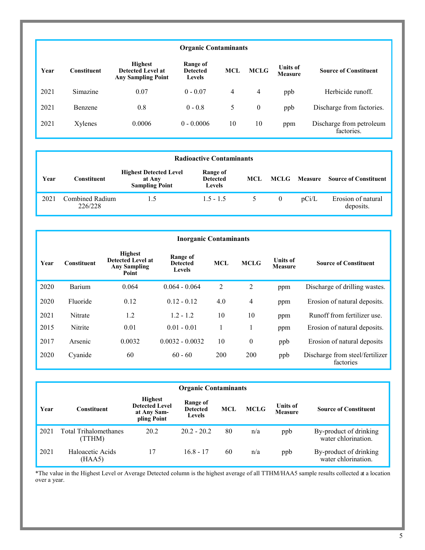#### **Organic Contaminants**

| Year | Constituent | Highest<br>Detected Level at<br><b>Any Sampling Point</b> | Range of<br><b>Detected</b><br><b>Levels</b> | <b>MCL</b> | <b>MCLG</b> | <b>Units of</b><br>Measure | <b>Source of Constituent</b>           |
|------|-------------|-----------------------------------------------------------|----------------------------------------------|------------|-------------|----------------------------|----------------------------------------|
| 2021 | Simazine    | 0.07                                                      | $0 - 0.07$                                   | 4          | 4           | ppb                        | Herbicide runoff.                      |
| 2021 | Benzene     | 0.8                                                       | $0 - 0.8$                                    | 5          | $\theta$    | ppb                        | Discharge from factories.              |
| 2021 | Xylenes     | 0.0006                                                    | $0 - 0.0006$                                 | 10         | 10          | ppm                        | Discharge from petroleum<br>factories. |

| <b>Radioactive Contaminants</b> |                            |                                                                  |                                              |      |          |       |                                      |  |
|---------------------------------|----------------------------|------------------------------------------------------------------|----------------------------------------------|------|----------|-------|--------------------------------------|--|
| Year                            | Constituent                | <b>Highest Detected Level</b><br>at Any<br><b>Sampling Point</b> | Range of<br><b>Detected</b><br><b>Levels</b> | MCL. | MCLG     |       | <b>Measure</b> Source of Constituent |  |
| 2021                            | Combined Radium<br>226/228 | L.5                                                              | $1.5 - 1.5$                                  |      | $\theta$ | pCi/L | Erosion of natural<br>deposits.      |  |

| <b>Inorganic Contaminants</b> |                    |                                                                     |                                              |            |                |                                   |                                              |
|-------------------------------|--------------------|---------------------------------------------------------------------|----------------------------------------------|------------|----------------|-----------------------------------|----------------------------------------------|
| Year                          | <b>Constituent</b> | <b>Highest</b><br>Detected Level at<br><b>Any Sampling</b><br>Point | Range of<br><b>Detected</b><br><b>Levels</b> | <b>MCL</b> | <b>MCLG</b>    | <b>Units of</b><br><b>Measure</b> | <b>Source of Constituent</b>                 |
| 2020                          | Barium             | 0.064                                                               | $0.064 - 0.064$                              | 2          | $\overline{2}$ | ppm                               | Discharge of drilling wastes.                |
| 2020                          | Fluoride           | 0.12                                                                | $0.12 - 0.12$                                | 4.0        | $\overline{4}$ | ppm                               | Erosion of natural deposits.                 |
| 2021                          | Nitrate            | 1.2                                                                 | $1.2 - 1.2$                                  | 10         | 10             | ppm                               | Runoff from fertilizer use.                  |
| 2015                          | Nitrite            | 0.01                                                                | $0.01 - 0.01$                                |            |                | ppm                               | Erosion of natural deposits.                 |
| 2017                          | Arsenic            | 0.0032                                                              | $0.0032 - 0.0032$                            | 10         | $\theta$       | ppb                               | Erosion of natural deposits                  |
| 2020                          | Cyanide            | 60                                                                  | $60 - 60$                                    | 200        | 200            | ppb                               | Discharge from steel/fertilizer<br>factories |

| <b>Organic Contaminants</b> |                                        |                                                                       |                                              |     |             |                                   |                                               |
|-----------------------------|----------------------------------------|-----------------------------------------------------------------------|----------------------------------------------|-----|-------------|-----------------------------------|-----------------------------------------------|
| Year                        | Constituent                            | <b>Highest</b><br><b>Detected Level</b><br>at Any Sam-<br>pling Point | Range of<br><b>Detected</b><br><b>Levels</b> | MCL | <b>MCLG</b> | <b>Units of</b><br><b>Measure</b> | <b>Source of Constituent</b>                  |
| 2021                        | <b>Total Trihalomethanes</b><br>(TTHM) | 20.2                                                                  | $20.2 - 20.2$                                | 80  | n/a         | ppb                               | By-product of drinking<br>water chlorination. |
| 2021                        | Haloacetic Acids<br>(HAA5)             | 17                                                                    | $16.8 - 17$                                  | 60  | n/a         | ppb                               | By-product of drinking<br>water chlorination. |

\*The value in the Highest Level or Average Detected column is the highest average of all TTHM/HAA5 sample results collected at a location over a year.